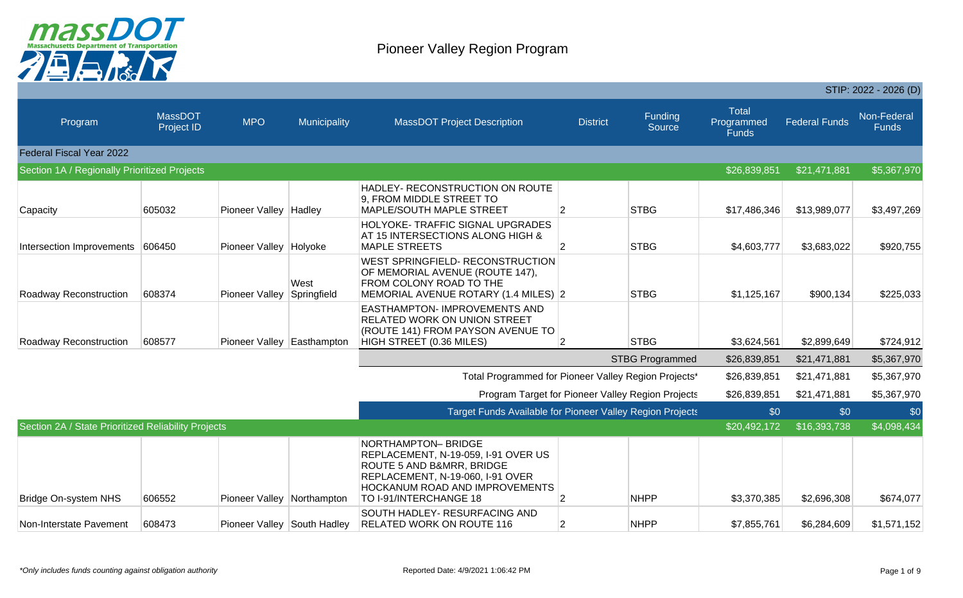

|                                                     |                              |                            |                             |                                                                                                                                                                                        |                 |                        |                                            |                      | STIP: 2022 - 2026 (D)       |
|-----------------------------------------------------|------------------------------|----------------------------|-----------------------------|----------------------------------------------------------------------------------------------------------------------------------------------------------------------------------------|-----------------|------------------------|--------------------------------------------|----------------------|-----------------------------|
| Program                                             | MassDOT<br><b>Project ID</b> | <b>MPO</b>                 | Municipality                | <b>MassDOT Project Description</b>                                                                                                                                                     | <b>District</b> | Funding<br>Source      | <b>Total</b><br>Programmed<br><b>Funds</b> | <b>Federal Funds</b> | Non-Federal<br><b>Funds</b> |
| Federal Fiscal Year 2022                            |                              |                            |                             |                                                                                                                                                                                        |                 |                        |                                            |                      |                             |
| Section 1A / Regionally Prioritized Projects        |                              |                            |                             |                                                                                                                                                                                        |                 |                        | \$26,839,851                               | \$21,471,881         | \$5,367,970                 |
| Capacity                                            | 605032                       | Pioneer Valley Hadley      |                             | HADLEY- RECONSTRUCTION ON ROUTE<br>9, FROM MIDDLE STREET TO<br><b>MAPLE/SOUTH MAPLE STREET</b>                                                                                         | 2               | <b>STBG</b>            | \$17,486,346                               | \$13,989,077         | \$3,497,269                 |
| Intersection Improvements 606450                    |                              | Pioneer Valley Holyoke     |                             | HOLYOKE- TRAFFIC SIGNAL UPGRADES<br>AT 15 INTERSECTIONS ALONG HIGH &<br><b>MAPLE STREETS</b>                                                                                           | $\overline{2}$  | <b>STBG</b>            | \$4,603,777                                | \$3,683,022          | \$920,755                   |
| Roadway Reconstruction                              | 608374                       | Pioneer Valley             | West<br>Springfield         | <b>WEST SPRINGFIELD- RECONSTRUCTION</b><br>OF MEMORIAL AVENUE (ROUTE 147),<br><b>FROM COLONY ROAD TO THE</b><br>MEMORIAL AVENUE ROTARY (1.4 MILES) 2                                   |                 | <b>STBG</b>            | \$1,125,167                                | \$900,134            | \$225,033                   |
| Roadway Reconstruction                              | 608577                       | Pioneer Valley Easthampton |                             | <b>EASTHAMPTON- IMPROVEMENTS AND</b><br><b>RELATED WORK ON UNION STREET</b><br>(ROUTE 141) FROM PAYSON AVENUE TO<br>HIGH STREET (0.36 MILES)                                           | 2               | <b>STBG</b>            | \$3,624,561                                | \$2,899,649          | \$724,912                   |
|                                                     |                              |                            |                             |                                                                                                                                                                                        |                 | <b>STBG Programmed</b> | \$26,839,851                               | \$21,471,881         | \$5,367,970                 |
|                                                     |                              |                            |                             | Total Programmed for Pioneer Valley Region Projects'                                                                                                                                   |                 |                        | \$26,839,851                               | \$21,471,881         | \$5,367,970                 |
|                                                     |                              |                            |                             | Program Target for Pioneer Valley Region Projects                                                                                                                                      |                 |                        | \$26,839,851                               | \$21,471,881         | \$5,367,970                 |
|                                                     |                              |                            |                             | <b>Target Funds Available for Pioneer Valley Region Projects</b>                                                                                                                       |                 |                        | \$0                                        | \$0                  | \$0                         |
| Section 2A / State Prioritized Reliability Projects |                              |                            |                             |                                                                                                                                                                                        |                 |                        | \$20,492,172                               | \$16,393,738         | \$4,098,434                 |
| <b>Bridge On-system NHS</b>                         | 606552                       | Pioneer Valley Northampton |                             | NORTHAMPTON-BRIDGE<br>REPLACEMENT, N-19-059, I-91 OVER US<br>ROUTE 5 AND B&MRR, BRIDGE<br>REPLACEMENT, N-19-060, I-91 OVER<br>HOCKANUM ROAD AND IMPROVEMENTS<br>TO I-91/INTERCHANGE 18 | $\overline{2}$  | <b>NHPP</b>            | \$3,370,385                                | \$2,696,308          | \$674,077                   |
| Non-Interstate Pavement                             | 608473                       |                            | Pioneer Valley South Hadley | <b>SOUTH HADLEY- RESURFACING AND</b><br><b>RELATED WORK ON ROUTE 116</b>                                                                                                               | $\overline{2}$  | <b>NHPP</b>            | \$7,855,761                                | \$6,284,609          | \$1,571,152                 |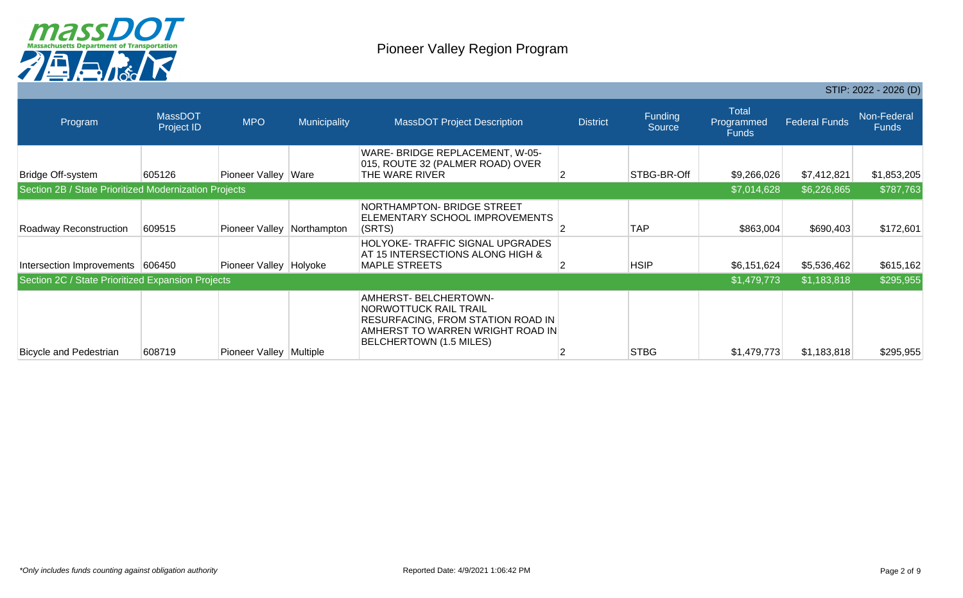

|                                                   |                                                       |                         |              |                                                                                                                                                   |                 |                          |                                            |                            | STIP: 2022 - 2026 (D)       |
|---------------------------------------------------|-------------------------------------------------------|-------------------------|--------------|---------------------------------------------------------------------------------------------------------------------------------------------------|-----------------|--------------------------|--------------------------------------------|----------------------------|-----------------------------|
| Program                                           | <b>MassDOT</b><br>Project ID                          | <b>MPO</b>              | Municipality | <b>MassDOT Project Description</b>                                                                                                                | <b>District</b> | <b>Funding</b><br>Source | <b>Total</b><br>Programmed<br><b>Funds</b> | <b>Federal Funds</b>       | Non-Federal<br><b>Funds</b> |
| Bridge Off-system                                 | 605126                                                | Pioneer Valley Ware     |              | WARE- BRIDGE REPLACEMENT, W-05-<br>015, ROUTE 32 (PALMER ROAD) OVER<br>THE WARE RIVER                                                             |                 | STBG-BR-Off              | \$9,266,026                                | \$7,412,821                | \$1,853,205                 |
|                                                   | Section 2B / State Prioritized Modernization Projects |                         |              |                                                                                                                                                   |                 |                          |                                            | \$6,226,865<br>\$7,014,628 | \$787,763                   |
| Roadway Reconstruction                            | 609515                                                | Pioneer Valley          | Northampton  | NORTHAMPTON- BRIDGE STREET<br>ELEMENTARY SCHOOL IMPROVEMENTS<br>(SRTS)                                                                            |                 | <b>TAP</b>               | \$863,004                                  | \$690,403                  | \$172,601                   |
| Intersection Improvements 606450                  |                                                       | Pioneer Valley Holyoke  |              | HOLYOKE-TRAFFIC SIGNAL UPGRADES<br>AT 15 INTERSECTIONS ALONG HIGH &<br><b>MAPLE STREETS</b>                                                       |                 | <b>HSIP</b>              | \$6,151,624                                | \$5,536,462                | \$615,162                   |
| Section 2C / State Prioritized Expansion Projects |                                                       |                         |              |                                                                                                                                                   |                 |                          | \$1,479,773                                | \$1,183,818                | \$295,955                   |
| <b>Bicycle and Pedestrian</b>                     | 608719                                                | Pioneer Valley Multiple |              | AMHERST-BELCHERTOWN-<br>NORWOTTUCK RAIL TRAIL<br>RESURFACING, FROM STATION ROAD IN<br>AMHERST TO WARREN WRIGHT ROAD IN<br>BELCHERTOWN (1.5 MILES) |                 | <b>STBG</b>              | \$1,479,773                                | \$1,183,818                | \$295,955                   |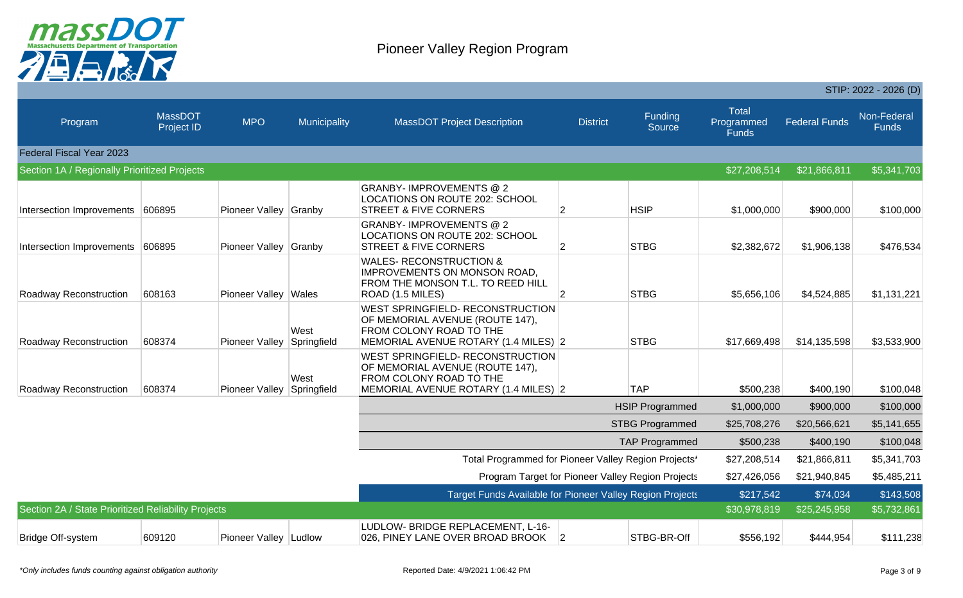

|                                                     |                              |                       |                     |                                                                                                                                               |                 |                          |                                            |                      | STIP: 2022 - 2026 (D)       |
|-----------------------------------------------------|------------------------------|-----------------------|---------------------|-----------------------------------------------------------------------------------------------------------------------------------------------|-----------------|--------------------------|--------------------------------------------|----------------------|-----------------------------|
| Program                                             | <b>MassDOT</b><br>Project ID | <b>MPO</b>            | Municipality        | <b>MassDOT Project Description</b>                                                                                                            | <b>District</b> | <b>Funding</b><br>Source | <b>Total</b><br>Programmed<br><b>Funds</b> | <b>Federal Funds</b> | Non-Federal<br><b>Funds</b> |
| Federal Fiscal Year 2023                            |                              |                       |                     |                                                                                                                                               |                 |                          |                                            |                      |                             |
| Section 1A / Regionally Prioritized Projects        |                              |                       |                     |                                                                                                                                               |                 |                          | \$27,208,514                               | \$21,866,811         | \$5,341,703                 |
| Intersection Improvements 606895                    |                              | Pioneer Valley Granby |                     | <b>GRANBY-IMPROVEMENTS @ 2</b><br><b>LOCATIONS ON ROUTE 202: SCHOOL</b><br><b>STREET &amp; FIVE CORNERS</b>                                   | $\overline{2}$  | <b>HSIP</b>              | \$1,000,000                                | \$900,000            | \$100,000                   |
| Intersection Improvements 606895                    |                              | Pioneer Valley Granby |                     | <b>GRANBY-IMPROVEMENTS @ 2</b><br><b>LOCATIONS ON ROUTE 202: SCHOOL</b><br><b>STREET &amp; FIVE CORNERS</b>                                   | $\overline{2}$  | <b>STBG</b>              | \$2,382,672                                | \$1,906,138          | \$476,534                   |
| Roadway Reconstruction                              | 608163                       | Pioneer Valley Wales  |                     | <b>WALES- RECONSTRUCTION &amp;</b><br><b>IMPROVEMENTS ON MONSON ROAD,</b><br>FROM THE MONSON T.L. TO REED HILL<br>ROAD (1.5 MILES)            | $\overline{2}$  | <b>STBG</b>              | \$5,656,106                                | \$4,524,885          | \$1,131,221                 |
| Roadway Reconstruction                              | 608374                       | Pioneer Valley        | West<br>Springfield | <b>WEST SPRINGFIELD- RECONSTRUCTION</b><br>OF MEMORIAL AVENUE (ROUTE 147),<br>FROM COLONY ROAD TO THE<br>MEMORIAL AVENUE ROTARY (1.4 MILES) 2 |                 | <b>STBG</b>              | \$17,669,498                               | \$14,135,598         | \$3,533,900                 |
| Roadway Reconstruction                              | 608374                       | Pioneer Valley        | West<br>Springfield | <b>WEST SPRINGFIELD- RECONSTRUCTION</b><br>OF MEMORIAL AVENUE (ROUTE 147),<br>FROM COLONY ROAD TO THE<br>MEMORIAL AVENUE ROTARY (1.4 MILES) 2 |                 | <b>TAP</b>               | \$500,238                                  | \$400,190            | \$100,048                   |
|                                                     |                              |                       |                     |                                                                                                                                               |                 | <b>HSIP Programmed</b>   | \$1,000,000                                | \$900,000            | \$100,000                   |
|                                                     |                              |                       |                     |                                                                                                                                               |                 | <b>STBG Programmed</b>   | \$25,708,276                               | \$20,566,621         | \$5,141,655                 |
|                                                     |                              |                       |                     |                                                                                                                                               |                 | <b>TAP Programmed</b>    | \$500,238                                  | \$400,190            | \$100,048                   |
|                                                     |                              |                       |                     | Total Programmed for Pioneer Valley Region Projects'                                                                                          |                 |                          | \$27,208,514                               | \$21,866,811         | \$5,341,703                 |
|                                                     |                              |                       |                     | Program Target for Pioneer Valley Region Projects                                                                                             |                 |                          | \$27,426,056                               | \$21,940,845         | \$5,485,211                 |
|                                                     |                              |                       |                     | Target Funds Available for Pioneer Valley Region Projects                                                                                     |                 |                          | \$217,542                                  | \$74,034             | \$143,508                   |
| Section 2A / State Prioritized Reliability Projects |                              |                       |                     |                                                                                                                                               |                 |                          | \$30,978,819                               | \$25,245,958         | \$5,732,861                 |
| Bridge Off-system                                   | 609120                       | Pioneer Valley Ludlow |                     | LUDLOW- BRIDGE REPLACEMENT, L-16-<br>026, PINEY LANE OVER BROAD BROOK                                                                         | $\overline{2}$  | STBG-BR-Off              | \$556,192                                  | \$444,954            | \$111,238                   |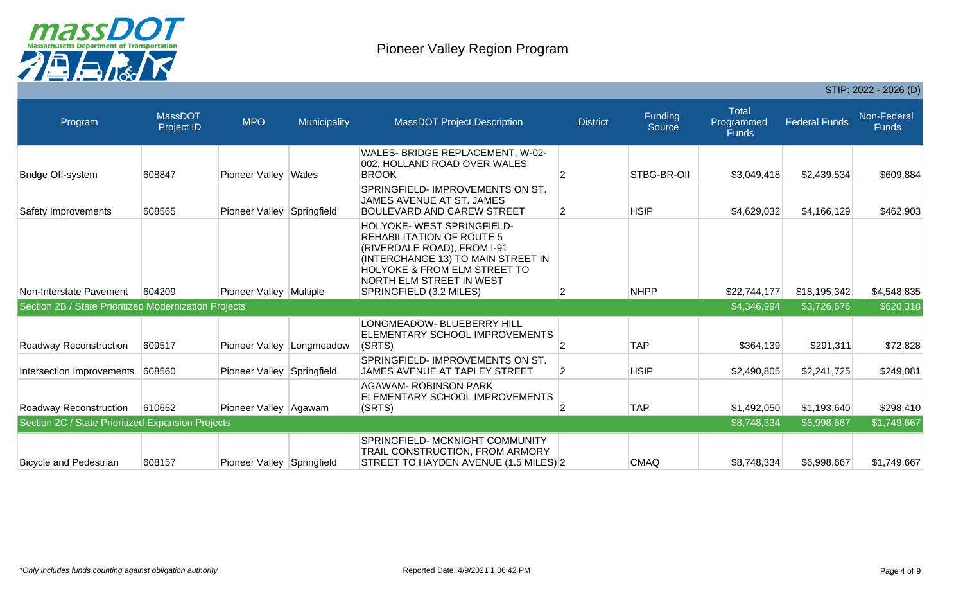

|                                                       |                                     |                            |              |                                                                                                                                                                                                                                      |                 |                          |                                            |                      | $JIIP: 2022 - 2020 (D)$     |
|-------------------------------------------------------|-------------------------------------|----------------------------|--------------|--------------------------------------------------------------------------------------------------------------------------------------------------------------------------------------------------------------------------------------|-----------------|--------------------------|--------------------------------------------|----------------------|-----------------------------|
| Program                                               | <b>MassDOT</b><br><b>Project ID</b> | <b>MPO</b>                 | Municipality | <b>MassDOT Project Description</b>                                                                                                                                                                                                   | <b>District</b> | <b>Funding</b><br>Source | <b>Total</b><br>Programmed<br><b>Funds</b> | <b>Federal Funds</b> | Non-Federal<br><b>Funds</b> |
| Bridge Off-system                                     | 608847                              | Pioneer Valley Wales       |              | WALES- BRIDGE REPLACEMENT, W-02-<br>002, HOLLAND ROAD OVER WALES<br><b>BROOK</b>                                                                                                                                                     | 2               | STBG-BR-Off              | \$3,049,418                                | \$2,439,534          | \$609,884                   |
| Safety Improvements                                   | 608565                              | Pioneer Valley Springfield |              | SPRINGFIELD- IMPROVEMENTS ON ST.<br>JAMES AVENUE AT ST. JAMES<br><b>BOULEVARD AND CAREW STREET</b>                                                                                                                                   | $\overline{2}$  | <b>HSIP</b>              | \$4,629,032                                | \$4,166,129          | \$462,903                   |
| Non-Interstate Pavement                               | 604209                              | Pioneer Valley Multiple    |              | HOLYOKE-WEST SPRINGFIELD-<br><b>REHABILITATION OF ROUTE 5</b><br>(RIVERDALE ROAD), FROM I-91<br>(INTERCHANGE 13) TO MAIN STREET IN<br><b>HOLYOKE &amp; FROM ELM STREET TO</b><br>NORTH ELM STREET IN WEST<br>SPRINGFIELD (3.2 MILES) | 2               | <b>NHPP</b>              | \$22,744,177                               | \$18,195,342         | \$4,548,835                 |
| Section 2B / State Prioritized Modernization Projects |                                     |                            |              |                                                                                                                                                                                                                                      |                 |                          | \$4,346,994                                | \$3,726,676          | \$620,318                   |
| Roadway Reconstruction                                | 609517                              | Pioneer Valley             | Longmeadow   | LONGMEADOW- BLUEBERRY HILL<br>ELEMENTARY SCHOOL IMPROVEMENTS<br>(SRTS)                                                                                                                                                               | 2               | <b>TAP</b>               | \$364,139                                  | \$291,311            | \$72,828                    |
| Intersection Improvements                             | 608560                              | Pioneer Valley Springfield |              | SPRINGFIELD- IMPROVEMENTS ON ST.<br>JAMES AVENUE AT TAPLEY STREET                                                                                                                                                                    | 2               | <b>HSIP</b>              | \$2,490,805                                | \$2,241,725          | \$249,081                   |
| Roadway Reconstruction                                | 610652                              | Pioneer Valley Agawam      |              | <b>AGAWAM- ROBINSON PARK</b><br>ELEMENTARY SCHOOL IMPROVEMENTS<br>(SRTS)                                                                                                                                                             | $\mathcal{P}$   | <b>TAP</b>               | \$1,492,050                                | \$1,193,640          | \$298,410                   |
| Section 2C / State Prioritized Expansion Projects     |                                     |                            |              |                                                                                                                                                                                                                                      |                 |                          | \$8,748,334                                | \$6,998,667          | \$1,749,667                 |
| <b>Bicycle and Pedestrian</b>                         | 608157                              | Pioneer Valley Springfield |              | SPRINGFIELD- MCKNIGHT COMMUNITY<br>TRAIL CONSTRUCTION, FROM ARMORY<br>STREET TO HAYDEN AVENUE (1.5 MILES) 2                                                                                                                          |                 | <b>CMAQ</b>              | \$8,748,334                                | \$6,998,667          | \$1,749,667                 |

 $CTID: 2000 - 2000 (D)$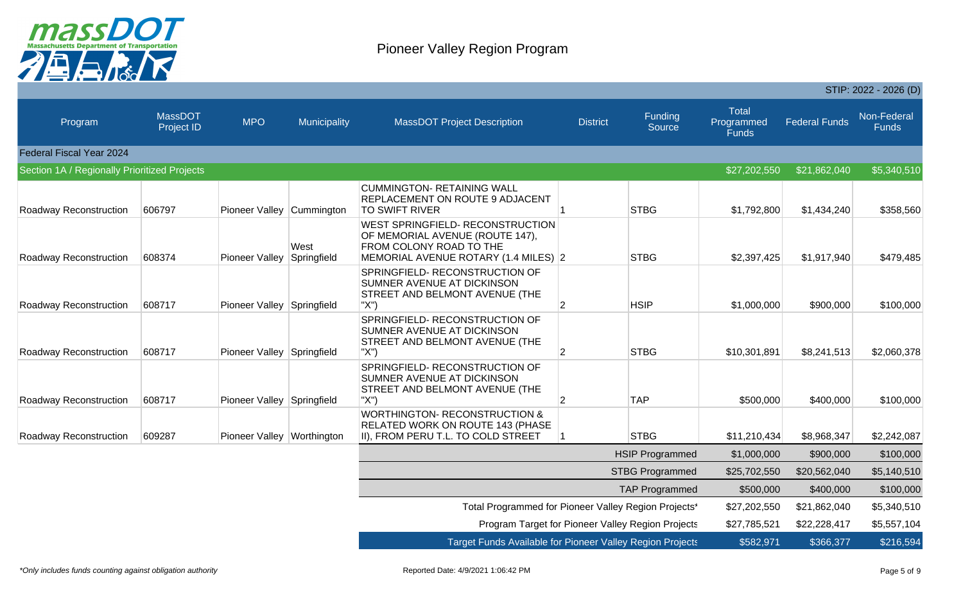

|                                              |                              |                            |                     |                                                                                                                                               |                 |                                                   |                                            | STIP: 2022 - 2026 (D) |                      |  |
|----------------------------------------------|------------------------------|----------------------------|---------------------|-----------------------------------------------------------------------------------------------------------------------------------------------|-----------------|---------------------------------------------------|--------------------------------------------|-----------------------|----------------------|--|
| <b>Program</b>                               | <b>MassDOT</b><br>Project ID | <b>MPO</b>                 | Municipality        | <b>MassDOT Project Description</b>                                                                                                            | <b>District</b> | <b>Funding</b><br>Source                          | <b>Total</b><br>Programmed<br><b>Funds</b> | <b>Federal Funds</b>  | Non-Federal<br>Funds |  |
| Federal Fiscal Year 2024                     |                              |                            |                     |                                                                                                                                               |                 |                                                   |                                            |                       |                      |  |
| Section 1A / Regionally Prioritized Projects |                              |                            |                     |                                                                                                                                               |                 |                                                   | \$27,202,550                               | \$21,862,040          | \$5,340,510          |  |
| <b>Roadway Reconstruction</b>                | 606797                       | Pioneer Valley Cummington  |                     | <b>CUMMINGTON- RETAINING WALL</b><br><b>REPLACEMENT ON ROUTE 9 ADJACENT</b><br><b>TO SWIFT RIVER</b>                                          |                 | <b>STBG</b>                                       | \$1,792,800                                | \$1,434,240           | \$358,560            |  |
| <b>Roadway Reconstruction</b>                | 608374                       | Pioneer Valley             | West<br>Springfield | <b>WEST SPRINGFIELD- RECONSTRUCTION</b><br>OF MEMORIAL AVENUE (ROUTE 147),<br>FROM COLONY ROAD TO THE<br>MEMORIAL AVENUE ROTARY (1.4 MILES) 2 |                 | <b>STBG</b>                                       | \$2,397,425                                | \$1,917,940           | \$479,485            |  |
| <b>Roadway Reconstruction</b>                | 608717                       | Pioneer Valley Springfield |                     | SPRINGFIELD-RECONSTRUCTION OF<br>SUMNER AVENUE AT DICKINSON<br>STREET AND BELMONT AVENUE (THE<br>"X")                                         | $\overline{2}$  | <b>HSIP</b>                                       | \$1,000,000                                | \$900,000             | \$100,000            |  |
| <b>Roadway Reconstruction</b>                | 608717                       | Pioneer Valley Springfield |                     | SPRINGFIELD- RECONSTRUCTION OF<br>SUMNER AVENUE AT DICKINSON<br>STREET AND BELMONT AVENUE (THE<br>"X")                                        | $\overline{2}$  | <b>STBG</b>                                       | \$10,301,891                               | \$8,241,513           | \$2,060,378          |  |
| Roadway Reconstruction                       | 608717                       | Pioneer Valley Springfield |                     | SPRINGFIELD-RECONSTRUCTION OF<br>SUMNER AVENUE AT DICKINSON<br><b>STREET AND BELMONT AVENUE (THE</b><br>"X")                                  | 2               | <b>TAP</b>                                        | \$500,000                                  | \$400,000             | \$100,000            |  |
| <b>Roadway Reconstruction</b>                | 609287                       | Pioneer Valley Worthington |                     | <b>WORTHINGTON- RECONSTRUCTION &amp;</b><br>RELATED WORK ON ROUTE 143 (PHASE<br>II), FROM PERU T.L. TO COLD STREET                            |                 | <b>STBG</b>                                       | \$11,210,434                               | \$8,968,347           | \$2,242,087          |  |
|                                              |                              |                            |                     |                                                                                                                                               |                 | <b>HSIP Programmed</b>                            | \$1,000,000                                | \$900,000             | \$100,000            |  |
|                                              |                              |                            |                     |                                                                                                                                               |                 | <b>STBG Programmed</b>                            | \$25,702,550                               | \$20,562,040          | \$5,140,510          |  |
|                                              |                              |                            |                     |                                                                                                                                               |                 | <b>TAP Programmed</b>                             | \$500,000                                  | \$400,000             | \$100,000            |  |
|                                              |                              |                            |                     | Total Programmed for Pioneer Valley Region Projects'                                                                                          |                 |                                                   | \$27,202,550                               | \$21,862,040          | \$5,340,510          |  |
|                                              |                              |                            |                     |                                                                                                                                               |                 | Program Target for Pioneer Valley Region Projects | \$27,785,521                               | \$22,228,417          | \$5,557,104          |  |
|                                              |                              |                            |                     | <b>Target Funds Available for Pioneer Valley Region Projects</b>                                                                              |                 |                                                   | \$582,971                                  | \$366,377             | \$216,594            |  |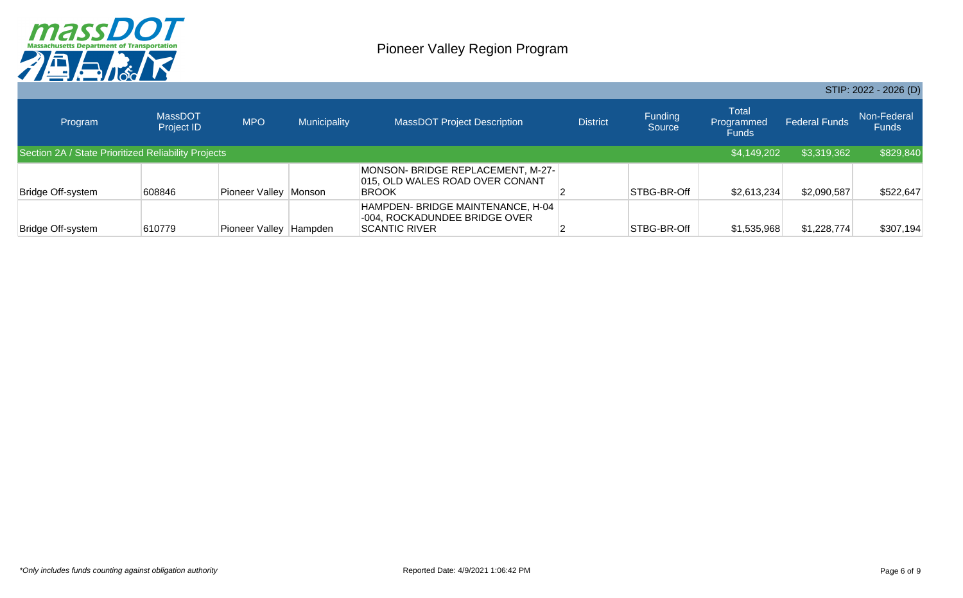

|                   |                                                     |                |              |                                                                                      |                 |                          |                                            |                      | STIP: 2022 - 2026 (D)       |
|-------------------|-----------------------------------------------------|----------------|--------------|--------------------------------------------------------------------------------------|-----------------|--------------------------|--------------------------------------------|----------------------|-----------------------------|
| Program           | <b>MassDOT</b><br>Project ID                        | <b>MPO</b>     | Municipality | <b>MassDOT Project Description</b>                                                   | <b>District</b> | <b>Funding</b><br>Source | <b>Total</b><br>Programmed<br><b>Funds</b> | <b>Federal Funds</b> | Non-Federal<br><b>Funds</b> |
|                   | Section 2A / State Prioritized Reliability Projects |                |              |                                                                                      |                 |                          | \$4,149,202                                | \$3,319,362          | \$829,840                   |
| Bridge Off-system | 608846                                              | Pioneer Valley | Monson       | MONSON- BRIDGE REPLACEMENT, M-27-<br>015, OLD WALES ROAD OVER CONANT<br><b>BROOK</b> |                 | STBG-BR-Off              | \$2,613,234                                | \$2,090,587          | \$522,647                   |
| Bridge Off-system | 610779                                              | Pioneer Valley | Hampden      | HAMPDEN- BRIDGE MAINTENANCE, H-04<br>-004, ROCKADUNDEE BRIDGE OVER<br>ISCANTIC RIVER |                 | STBG-BR-Off              | \$1,535,968                                | \$1,228,774          | \$307,194                   |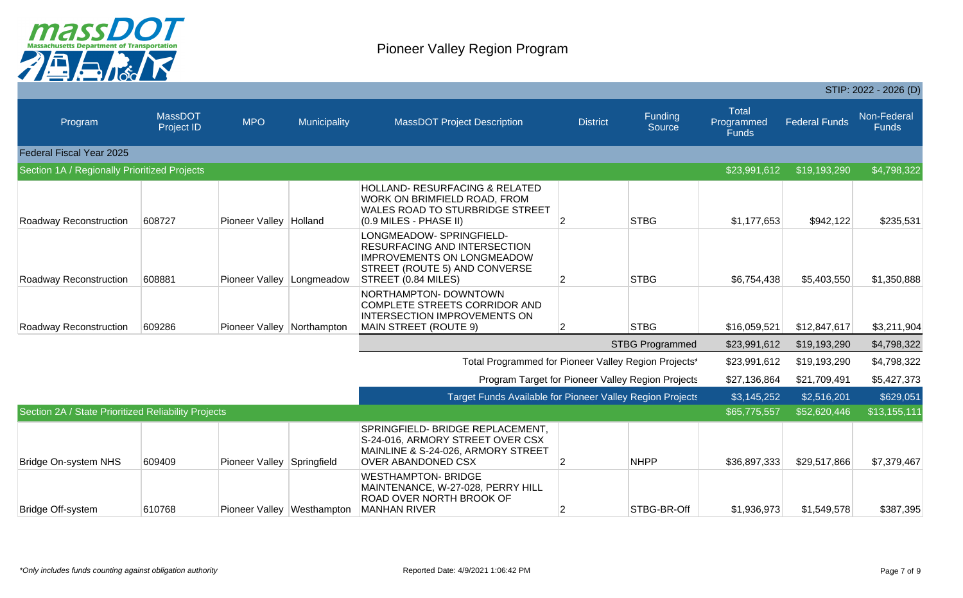

|                                                     |                              |                            |                            |                                                                                                                                                       |                 |                        |                                            |                      | STIP: 2022 - 2026 (D)       |
|-----------------------------------------------------|------------------------------|----------------------------|----------------------------|-------------------------------------------------------------------------------------------------------------------------------------------------------|-----------------|------------------------|--------------------------------------------|----------------------|-----------------------------|
| Program                                             | MassDOT<br><b>Project ID</b> | <b>MPO</b>                 | Municipality               | <b>MassDOT Project Description</b>                                                                                                                    | <b>District</b> | Funding<br>Source      | <b>Total</b><br>Programmed<br><b>Funds</b> | <b>Federal Funds</b> | Non-Federal<br><b>Funds</b> |
| Federal Fiscal Year 2025                            |                              |                            |                            |                                                                                                                                                       |                 |                        |                                            |                      |                             |
| Section 1A / Regionally Prioritized Projects        |                              |                            |                            |                                                                                                                                                       |                 |                        | \$23,991,612                               | \$19,193,290         | \$4,798,322                 |
| Roadway Reconstruction                              | 608727                       | Pioneer Valley             | Holland                    | <b>HOLLAND- RESURFACING &amp; RELATED</b><br>WORK ON BRIMFIELD ROAD, FROM<br><b>WALES ROAD TO STURBRIDGE STREET</b><br>(0.9 MILES - PHASE II)         | 2               | <b>STBG</b>            | \$1,177,653                                | \$942,122            | \$235,531                   |
| Roadway Reconstruction                              | 608881                       | Pioneer Valley             | Longmeadow                 | LONGMEADOW- SPRINGFIELD-<br>RESURFACING AND INTERSECTION<br><b>IMPROVEMENTS ON LONGMEADOW</b><br>STREET (ROUTE 5) AND CONVERSE<br>STREET (0.84 MILES) | 2               | <b>STBG</b>            | \$6,754,438                                | \$5,403,550          | \$1,350,888                 |
| Roadway Reconstruction                              | 609286                       | Pioneer Valley             | Northampton                | NORTHAMPTON-DOWNTOWN<br>COMPLETE STREETS CORRIDOR AND<br>INTERSECTION IMPROVEMENTS ON<br>MAIN STREET (ROUTE 9)                                        | 2               | <b>STBG</b>            | \$16,059,521                               | \$12,847,617         | \$3,211,904                 |
|                                                     |                              |                            |                            |                                                                                                                                                       |                 | <b>STBG Programmed</b> | \$23,991,612                               | \$19,193,290         | \$4,798,322                 |
|                                                     |                              |                            |                            | Total Programmed for Pioneer Valley Region Projects'                                                                                                  |                 |                        | \$23,991,612                               | \$19,193,290         | \$4,798,322                 |
|                                                     |                              |                            |                            | Program Target for Pioneer Valley Region Projects                                                                                                     |                 |                        | \$27,136,864                               | \$21,709,491         | \$5,427,373                 |
|                                                     |                              |                            |                            | <b>Target Funds Available for Pioneer Valley Region Projects</b>                                                                                      |                 |                        | \$3,145,252                                | \$2,516,201          | \$629,051                   |
| Section 2A / State Prioritized Reliability Projects |                              |                            |                            |                                                                                                                                                       |                 |                        | \$65,775,557                               | \$52,620,446         | \$13,155,111                |
| <b>Bridge On-system NHS</b>                         | 609409                       | Pioneer Valley Springfield |                            | SPRINGFIELD- BRIDGE REPLACEMENT,<br>S-24-016, ARMORY STREET OVER CSX<br>MAINLINE & S-24-026, ARMORY STREET<br><b>OVER ABANDONED CSX</b>               | 2               | <b>NHPP</b>            | \$36,897,333                               | \$29,517,866         | \$7,379,467                 |
| Bridge Off-system                                   | 610768                       |                            | Pioneer Valley Westhampton | <b>WESTHAMPTON- BRIDGE</b><br>MAINTENANCE, W-27-028, PERRY HILL<br>ROAD OVER NORTH BROOK OF<br><b>MANHAN RIVER</b>                                    | 2               | STBG-BR-Off            | \$1,936,973                                | \$1,549,578          | \$387,395                   |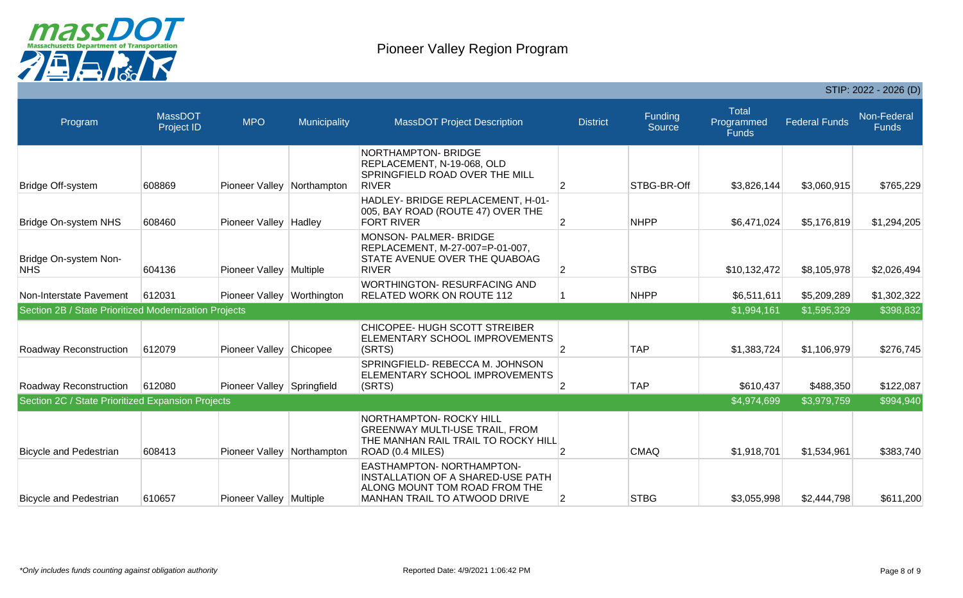

|                                                       |                              |                              |              |                                                                                                                                 |                 |                   |                                            |                      | STIP: 2022 - 2026 (D)       |
|-------------------------------------------------------|------------------------------|------------------------------|--------------|---------------------------------------------------------------------------------------------------------------------------------|-----------------|-------------------|--------------------------------------------|----------------------|-----------------------------|
| Program                                               | <b>MassDOT</b><br>Project ID | <b>MPO</b>                   | Municipality | <b>MassDOT Project Description</b>                                                                                              | <b>District</b> | Funding<br>Source | <b>Total</b><br>Programmed<br><b>Funds</b> | <b>Federal Funds</b> | Non-Federal<br><b>Funds</b> |
| Bridge Off-system                                     | 608869                       | Pioneer Valley               | Northampton  | NORTHAMPTON- BRIDGE<br>REPLACEMENT, N-19-068, OLD<br>SPRINGFIELD ROAD OVER THE MILL<br><b>RIVER</b>                             | $\overline{2}$  | STBG-BR-Off       | \$3,826,144                                | \$3,060,915          | \$765,229                   |
| <b>Bridge On-system NHS</b>                           | 608460                       | Pioneer Valley               | Hadley       | HADLEY- BRIDGE REPLACEMENT, H-01-<br>005, BAY ROAD (ROUTE 47) OVER THE<br><b>FORT RIVER</b>                                     | 2               | <b>NHPP</b>       | \$6,471,024                                | \$5,176,819          | \$1,294,205                 |
| Bridge On-system Non-<br><b>NHS</b>                   | 604136                       | Pioneer Valley Multiple      |              | MONSON- PALMER- BRIDGE<br>REPLACEMENT, M-27-007=P-01-007,<br>STATE AVENUE OVER THE QUABOAG<br><b>RIVER</b>                      | $\overline{2}$  | <b>STBG</b>       | \$10,132,472                               | \$8,105,978          | \$2,026,494                 |
| Non-Interstate Pavement                               | 612031                       | Pioneer Valley   Worthington |              | <b>WORTHINGTON- RESURFACING AND</b><br><b>RELATED WORK ON ROUTE 112</b>                                                         |                 | <b>NHPP</b>       | \$6,511,611                                | \$5,209,289          | \$1,302,322                 |
| Section 2B / State Prioritized Modernization Projects |                              |                              |              |                                                                                                                                 |                 |                   | \$1,994,161                                | \$1,595,329          | \$398,832                   |
| Roadway Reconstruction                                | 612079                       | Pioneer Valley Chicopee      |              | CHICOPEE- HUGH SCOTT STREIBER<br>ELEMENTARY SCHOOL IMPROVEMENTS<br>(SRTS)                                                       | $\overline{2}$  | <b>TAP</b>        | \$1,383,724                                | \$1,106,979          | \$276,745                   |
| Roadway Reconstruction                                | 612080                       | Pioneer Valley Springfield   |              | SPRINGFIELD- REBECCA M. JOHNSON<br>ELEMENTARY SCHOOL IMPROVEMENTS<br>(SRTS)                                                     | 2               | <b>TAP</b>        | \$610,437                                  | \$488,350            | \$122,087                   |
| Section 2C / State Prioritized Expansion Projects     |                              |                              |              |                                                                                                                                 |                 |                   | \$4,974,699                                | \$3,979,759          | \$994,940                   |
| <b>Bicycle and Pedestrian</b>                         | 608413                       | Pioneer Valley               | Northampton  | NORTHAMPTON- ROCKY HILL<br><b>GREENWAY MULTI-USE TRAIL, FROM</b><br>THE MANHAN RAIL TRAIL TO ROCKY HILL<br>ROAD (0.4 MILES)     | 2               | <b>CMAQ</b>       | \$1,918,701                                | \$1,534,961          | \$383,740                   |
| <b>Bicycle and Pedestrian</b>                         | 610657                       | Pioneer Valley Multiple      |              | EASTHAMPTON- NORTHAMPTON-<br>INSTALLATION OF A SHARED-USE PATH<br>ALONG MOUNT TOM ROAD FROM THE<br>MANHAN TRAIL TO ATWOOD DRIVE | $\overline{2}$  | <b>STBG</b>       | \$3,055,998                                | \$2,444,798          | \$611,200                   |